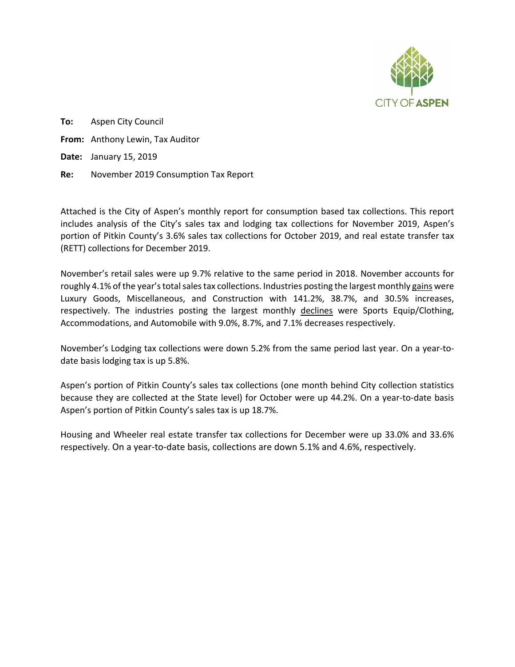

**To:** Aspen City Council **From:** Anthony Lewin, Tax Auditor **Date:** January 15, 2019 **Re:** November 2019 Consumption Tax Report

Attached is the City of Aspen's monthly report for consumption based tax collections. This report includes analysis of the City's sales tax and lodging tax collections for November 2019, Aspen's portion of Pitkin County's 3.6% sales tax collections for October 2019, and real estate transfer tax (RETT) collections for December 2019.

November's retail sales were up 9.7% relative to the same period in 2018. November accounts for roughly 4.1% of the year's total sales tax collections. Industries posting the largest monthly gains were Luxury Goods, Miscellaneous, and Construction with 141.2%, 38.7%, and 30.5% increases, respectively. The industries posting the largest monthly declines were Sports Equip/Clothing, Accommodations, and Automobile with 9.0%, 8.7%, and 7.1% decreases respectively.

November's Lodging tax collections were down 5.2% from the same period last year. On a year-todate basis lodging tax is up 5.8%.

Aspen's portion of Pitkin County's sales tax collections (one month behind City collection statistics because they are collected at the State level) for October were up 44.2%. On a year-to-date basis Aspen's portion of Pitkin County's sales tax is up 18.7%.

Housing and Wheeler real estate transfer tax collections for December were up 33.0% and 33.6% respectively. On a year-to-date basis, collections are down 5.1% and 4.6%, respectively.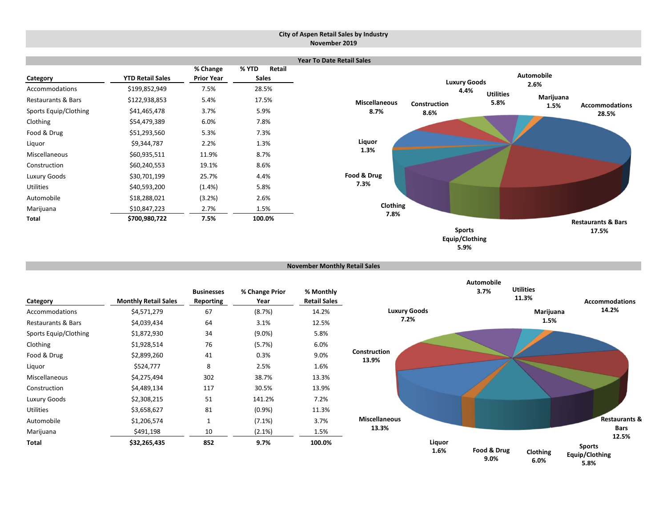#### **City of Aspen Retail Sales by Industry November 2019**



```
November Monthly Retail Sales
```

| Category              | <b>Monthly Retail Sales</b> | <b>Businesses</b><br><b>Reporting</b> | % Change Prior<br>Year | % Monthly<br><b>Retail Sales</b> |
|-----------------------|-----------------------------|---------------------------------------|------------------------|----------------------------------|
| Accommodations        | \$4,571,279                 | 67                                    | (8.7%)                 | 14.2%                            |
| Restaurants & Bars    | \$4,039,434                 | 64                                    | 3.1%                   | 12.5%                            |
| Sports Equip/Clothing | \$1,872,930                 | 34                                    | $(9.0\%)$              | 5.8%                             |
| Clothing              | \$1,928,514                 | 76                                    | (5.7%)                 | 6.0%                             |
| Food & Drug           | \$2,899,260                 | 41                                    | 0.3%                   | 9.0%                             |
| Liquor                | \$524,777                   | 8                                     | 2.5%                   | 1.6%                             |
| Miscellaneous         | \$4,275,494                 | 302                                   | 38.7%                  | 13.3%                            |
| Construction          | \$4,489,134                 | 117                                   | 30.5%                  | 13.9%                            |
| Luxury Goods          | \$2,308,215                 | 51                                    | 141.2%                 | 7.2%                             |
| <b>Utilities</b>      | \$3,658,627                 | 81                                    | $(0.9\%)$              | 11.3%                            |
| Automobile            | \$1,206,574                 | 1                                     | $(7.1\%)$              | 3.7%                             |
| Marijuana             | \$491,198                   | 10                                    | $(2.1\%)$              | 1.5%                             |
| Total                 | \$32,265,435                | 852                                   | 9.7%                   | 100.0%                           |

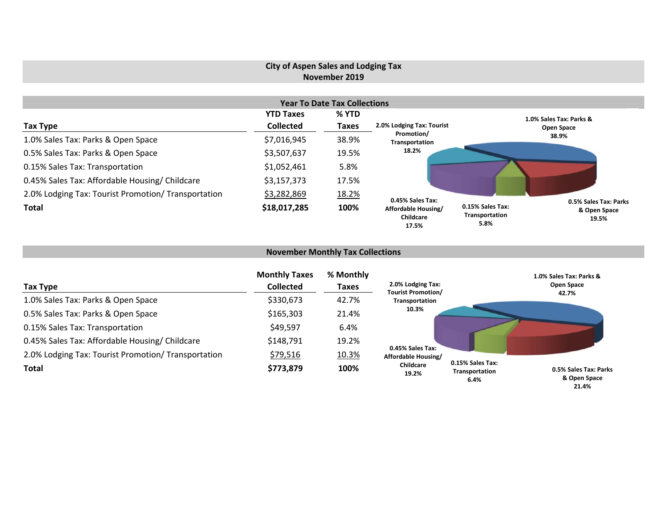# **City of Aspen Sales and Lodging Tax November 2019**

|                                                     |                  | <b>Year To Date Tax Collections</b> |                                           |                                            |                                                |
|-----------------------------------------------------|------------------|-------------------------------------|-------------------------------------------|--------------------------------------------|------------------------------------------------|
|                                                     | <b>YTD Taxes</b> | % YTD                               |                                           |                                            | 1.0% Sales Tax: Parks &                        |
| Tax Type                                            | <b>Collected</b> | <b>Taxes</b>                        | 2.0% Lodging Tax: Tourist                 |                                            | <b>Open Space</b>                              |
| 1.0% Sales Tax: Parks & Open Space                  | \$7,016,945      | 38.9%                               | Promotion/<br>Transportation              |                                            | 38.9%                                          |
| 0.5% Sales Tax: Parks & Open Space                  | \$3,507,637      | 19.5%                               | 18.2%                                     |                                            |                                                |
| 0.15% Sales Tax: Transportation                     | \$1,052,461      | 5.8%                                |                                           |                                            |                                                |
| 0.45% Sales Tax: Affordable Housing/ Childcare      | \$3,157,373      | 17.5%                               |                                           |                                            |                                                |
| 2.0% Lodging Tax: Tourist Promotion/ Transportation | \$3,282,869      | 18.2%                               | 0.45% Sales Tax:                          |                                            |                                                |
| <b>Total</b>                                        | \$18,017,285     | 100%                                | Affordable Housing/<br>Childcare<br>17.5% | 0.15% Sales Tax:<br>Transportation<br>5.8% | 0.5% Sales Tax: Parks<br>& Open Space<br>19.5% |

# **November Monthly Tax Collections**

| Tax Type                                            | <b>Monthly Taxes</b><br><b>Collected</b> | % Monthly<br><b>Taxes</b> | 2.0% Lodging Tax:<br><b>Tourist Promotion/</b> |                                            | 1.0% Sales Tax: Parks &<br>Open Space          |
|-----------------------------------------------------|------------------------------------------|---------------------------|------------------------------------------------|--------------------------------------------|------------------------------------------------|
| 1.0% Sales Tax: Parks & Open Space                  | \$330,673                                | 42.7%                     | <b>Transportation</b>                          |                                            | 42.7%                                          |
| 0.5% Sales Tax: Parks & Open Space                  | \$165,303                                | 21.4%                     | 10.3%                                          |                                            |                                                |
| 0.15% Sales Tax: Transportation                     | \$49,597                                 | 6.4%                      |                                                |                                            |                                                |
| 0.45% Sales Tax: Affordable Housing/ Childcare      | \$148,791                                | 19.2%                     |                                                |                                            |                                                |
| 2.0% Lodging Tax: Tourist Promotion/ Transportation | \$79,516                                 | 10.3%                     | 0.45% Sales Tax:<br>Affordable Housing/        |                                            |                                                |
| <b>Total</b>                                        | \$773,879                                | 100%                      | Childcare<br>19.2%                             | 0.15% Sales Tax:<br>Transportation<br>6.4% | 0.5% Sales Tax: Parks<br>& Open Space<br>21.4% |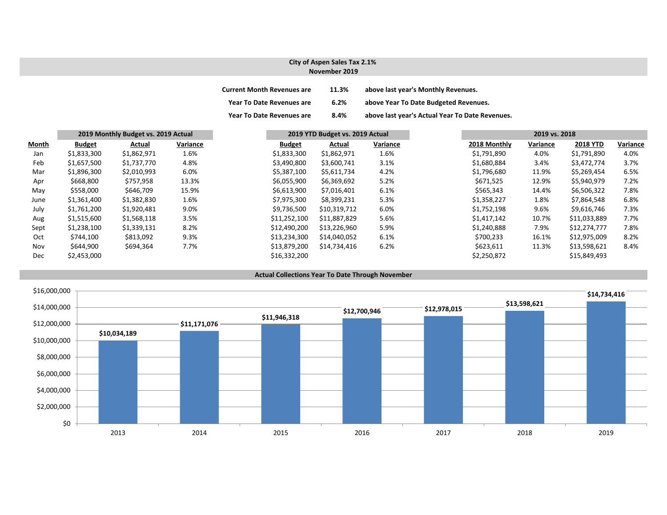### **City of Aspen Sales Tax 2.1% November 2019**

| <b>Current Month Revenues are</b> | 11.3% | above last year's Monthly Revenues.             |
|-----------------------------------|-------|-------------------------------------------------|
| <b>Year To Date Revenues are</b>  | 6.2%  | above Year To Date Budgeted Revenues.           |
| <b>Year To Date Revenues are</b>  | 8.4%  | above last year's Actual Year To Date Revenues. |

|       | 2019 Monthly Budget vs. 2019 Actual |             |          | 2019 YTD Budget vs. 2019 Actual |              |          | 2019 vs. 2018 |              |          |                 |          |
|-------|-------------------------------------|-------------|----------|---------------------------------|--------------|----------|---------------|--------------|----------|-----------------|----------|
| Month | <b>Budget</b>                       | Actual      | Variance | <b>Budget</b>                   | Actual       | Variance |               | 2018 Monthly | Variance | <b>2018 YTD</b> | Variance |
| Jan   | \$1,833,300                         | \$1,862,971 | 1.6%     | \$1,833,300                     | \$1,862,971  | 1.6%     |               | \$1,791,890  | 4.0%     | \$1,791,890     | 4.0%     |
| Feb   | \$1,657,500                         | \$1,737,770 | 4.8%     | \$3,490,800                     | \$3,600,741  | 3.1%     |               | \$1,680,884  | 3.4%     | \$3,472,774     | 3.7%     |
| Mar   | \$1,896,300                         | \$2,010,993 | 6.0%     | \$5,387,100                     | \$5,611,734  | 4.2%     |               | \$1,796,680  | 11.9%    | \$5,269,454     | 6.5%     |
| Apr   | \$668,800                           | \$757,958   | 13.3%    | \$6,055,900                     | \$6,369,692  | 5.2%     |               | \$671,525    | 12.9%    | \$5,940,979     | 7.2%     |
| May   | \$558,000                           | \$646,709   | 15.9%    | \$6,613,900                     | \$7,016,401  | 6.1%     |               | \$565,343    | 14.4%    | \$6,506,322     | 7.8%     |
| June  | \$1,361,400                         | \$1,382,830 | 1.6%     | \$7,975,300                     | \$8,399,231  | 5.3%     |               | \$1,358,227  | 1.8%     | \$7,864,548     | 6.8%     |
| July  | \$1,761,200                         | \$1,920,481 | 9.0%     | \$9,736,500                     | \$10,319,712 | 6.0%     |               | \$1,752,198  | 9.6%     | \$9.616.746     | 7.3%     |
| Aug   | \$1,515,600                         | \$1,568,118 | 3.5%     | \$11,252,100                    | \$11,887,829 | 5.6%     |               | \$1,417,142  | 10.7%    | \$11,033,889    | 7.7%     |
| Sept  | \$1,238,100                         | \$1,339,131 | 8.2%     | \$12,490,200                    | \$13,226,960 | 5.9%     |               | \$1,240,888  | 7.9%     | \$12,274,777    | 7.8%     |
| Oct   | \$744,100                           | \$813,092   | 9.3%     | \$13,234,300                    | \$14,040,052 | 6.1%     |               | \$700,233    | 16.1%    | \$12,975,009    | 8.2%     |
| Nov   | \$644,900                           | \$694,364   | 7.7%     | \$13,879,200                    | \$14,734,416 | 6.2%     |               | \$623,611    | 11.3%    | \$13,598,621    | 8.4%     |
| Dec   | \$2,453,000                         |             |          | \$16,332,200                    |              |          |               | \$2,250,872  |          | \$15,849,493    |          |



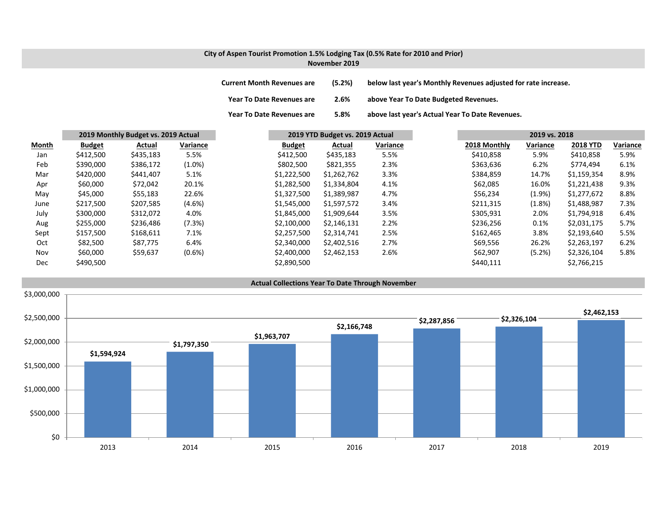### **City of Aspen Tourist Promotion 1.5% Lodging Tax (0.5% Rate for 2010 and Prior) November 2019**

| <b>Current Month Revenues are</b> | (5.2%) | below last year's Monthly Revenues adjusted for rate increase. |
|-----------------------------------|--------|----------------------------------------------------------------|
| <b>Year To Date Revenues are</b>  | 2.6%   | above Year To Date Budgeted Revenues.                          |

**Year To Date Revenues are 5.8% above last year's Actual Year To Date Revenues.**

|       | 2019 Monthly Budget vs. 2019 Actual |           | 2019 YTD Budget vs. 2019 Actual |               | 2019 vs. 2018 |          |  |              |           |                 |          |
|-------|-------------------------------------|-----------|---------------------------------|---------------|---------------|----------|--|--------------|-----------|-----------------|----------|
| Month | <b>Budget</b>                       | Actual    | Variance                        | <b>Budget</b> | Actual        | Variance |  | 2018 Monthly | Variance  | <b>2018 YTD</b> | Variance |
| Jan   | \$412,500                           | \$435,183 | 5.5%                            | \$412,500     | \$435,183     | 5.5%     |  | \$410,858    | 5.9%      | \$410,858       | 5.9%     |
| Feb   | \$390,000                           | \$386,172 | $(1.0\%)$                       | \$802,500     | \$821,355     | 2.3%     |  | \$363,636    | 6.2%      | \$774,494       | 6.1%     |
| Mar   | \$420,000                           | \$441,407 | 5.1%                            | \$1,222,500   | \$1,262,762   | 3.3%     |  | \$384,859    | 14.7%     | \$1,159,354     | 8.9%     |
| Apr   | \$60,000                            | \$72,042  | 20.1%                           | \$1,282,500   | \$1,334,804   | 4.1%     |  | \$62,085     | 16.0%     | \$1,221,438     | 9.3%     |
| May   | \$45,000                            | \$55,183  | 22.6%                           | \$1,327,500   | \$1,389,987   | 4.7%     |  | \$56,234     | $(1.9\%)$ | \$1,277,672     | 8.8%     |
| June  | \$217,500                           | \$207,585 | $(4.6\%)$                       | \$1,545,000   | \$1,597,572   | 3.4%     |  | \$211,315    | (1.8%)    | \$1,488,987     | 7.3%     |
| July  | \$300,000                           | \$312,072 | 4.0%                            | \$1,845,000   | \$1,909,644   | 3.5%     |  | \$305,931    | 2.0%      | \$1,794,918     | 6.4%     |
| Aug   | \$255,000                           | \$236,486 | (7.3%)                          | \$2,100,000   | \$2,146,131   | 2.2%     |  | \$236,256    | 0.1%      | \$2,031,175     | 5.7%     |
| Sept  | \$157,500                           | \$168,611 | 7.1%                            | \$2,257,500   | \$2,314,741   | 2.5%     |  | \$162,465    | 3.8%      | \$2,193,640     | 5.5%     |
| Oct   | \$82,500                            | \$87.775  | 6.4%                            | \$2,340,000   | \$2,402,516   | 2.7%     |  | \$69,556     | 26.2%     | \$2,263,197     | 6.2%     |
| Nov   | \$60,000                            | \$59,637  | $(0.6\%)$                       | \$2,400,000   | \$2,462,153   | 2.6%     |  | \$62,907     | (5.2%)    | \$2,326,104     | 5.8%     |
| Dec   | \$490,500                           |           |                                 | \$2,890,500   |               |          |  | \$440,111    |           | \$2,766,215     |          |

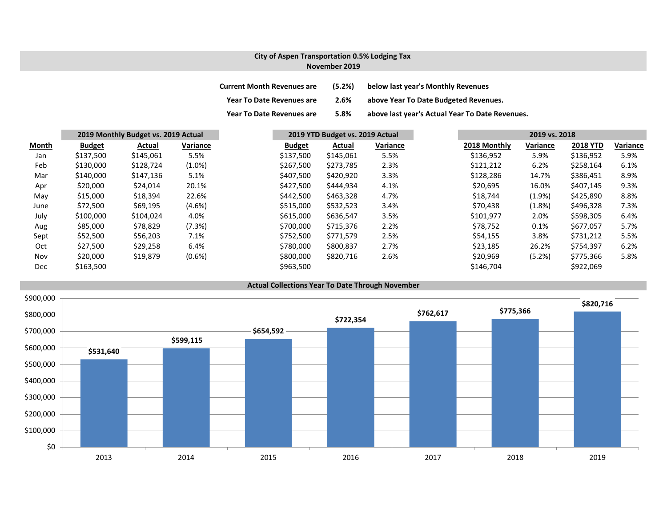# **City of Aspen Transportation 0.5% Lodging Tax November 2019**

| <b>Current Month Revenues are</b> | (5.2%) | below last year's Monthly Revenues              |
|-----------------------------------|--------|-------------------------------------------------|
| <b>Year To Date Revenues are</b>  | 2.6%   | above Year To Date Budgeted Revenues.           |
| <b>Year To Date Revenues are</b>  | 5.8%   | above last year's Actual Year To Date Revenues. |

|       | 2019 Monthly Budget vs. 2019 Actual |           | 2019 YTD Budget vs. 2019 Actual |               |           | 2019 vs. 2018 |  |              |           |                 |          |
|-------|-------------------------------------|-----------|---------------------------------|---------------|-----------|---------------|--|--------------|-----------|-----------------|----------|
| Month | <b>Budget</b>                       | Actual    | Variance                        | <b>Budget</b> | Actual    | Variance      |  | 2018 Monthly | Variance  | <b>2018 YTD</b> | Variance |
| Jan   | \$137,500                           | \$145,061 | 5.5%                            | \$137,500     | \$145,061 | 5.5%          |  | \$136,952    | 5.9%      | \$136,952       | 5.9%     |
| Feb   | \$130,000                           | \$128,724 | $(1.0\%)$                       | \$267,500     | \$273,785 | 2.3%          |  | \$121,212    | 6.2%      | \$258,164       | 6.1%     |
| Mar   | \$140,000                           | \$147,136 | 5.1%                            | \$407,500     | \$420,920 | 3.3%          |  | \$128,286    | 14.7%     | \$386,451       | 8.9%     |
| Apr   | \$20,000                            | \$24,014  | 20.1%                           | \$427,500     | \$444,934 | 4.1%          |  | \$20,695     | 16.0%     | \$407,145       | 9.3%     |
| May   | \$15,000                            | \$18,394  | 22.6%                           | \$442,500     | \$463,328 | 4.7%          |  | \$18,744     | $(1.9\%)$ | \$425,890       | 8.8%     |
| June  | \$72,500                            | \$69,195  | $(4.6\%)$                       | \$515,000     | \$532,523 | 3.4%          |  | \$70,438     | (1.8%)    | \$496,328       | 7.3%     |
| July  | \$100,000                           | \$104,024 | 4.0%                            | \$615,000     | \$636,547 | 3.5%          |  | \$101,977    | 2.0%      | \$598,305       | 6.4%     |
| Aug   | \$85,000                            | \$78,829  | (7.3%)                          | \$700,000     | \$715,376 | 2.2%          |  | \$78,752     | 0.1%      | \$677,057       | 5.7%     |
| Sept  | \$52,500                            | \$56,203  | 7.1%                            | \$752,500     | \$771,579 | 2.5%          |  | \$54,155     | 3.8%      | \$731,212       | 5.5%     |
| Oct   | \$27,500                            | \$29,258  | 6.4%                            | \$780,000     | \$800,837 | 2.7%          |  | \$23,185     | 26.2%     | \$754,397       | 6.2%     |
| Nov   | \$20,000                            | \$19,879  | $(0.6\%)$                       | \$800,000     | \$820,716 | 2.6%          |  | \$20,969     | (5.2%)    | \$775,366       | 5.8%     |
| Dec   | \$163,500                           |           |                                 | \$963,500     |           |               |  | \$146,704    |           | \$922,069       |          |

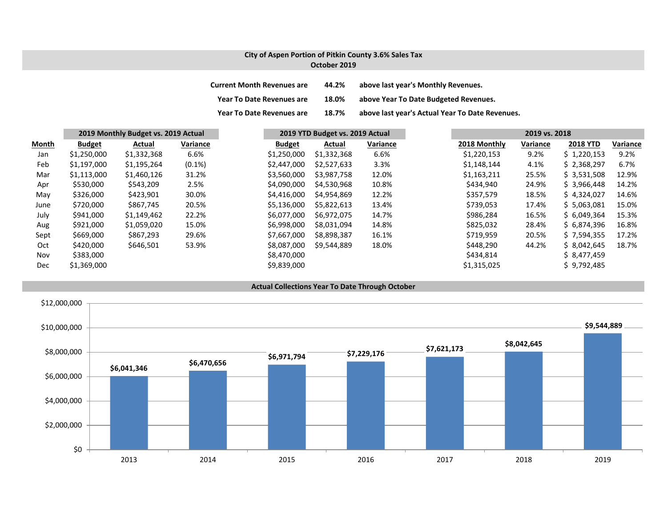## **City of Aspen Portion of Pitkin County 3.6% Sales Tax October 2019**

| <b>Current Month Revenues are</b> | 44.2% | above last year's Monthly Revenues.             |
|-----------------------------------|-------|-------------------------------------------------|
| <b>Year To Date Revenues are</b>  | 18.0% | above Year To Date Budgeted Revenues.           |
| <b>Year To Date Revenues are</b>  | 18.7% | above last year's Actual Year To Date Revenues. |

|       | 2019 Monthly Budget vs. 2019 Actual |             | 2019 YTD Budget vs. 2019 Actual |               |             | 2019 vs. 2018 |              |          |                 |          |
|-------|-------------------------------------|-------------|---------------------------------|---------------|-------------|---------------|--------------|----------|-----------------|----------|
| Month | <b>Budget</b>                       | Actual      | Variance                        | <b>Budget</b> | Actual      | Variance      | 2018 Monthly | Variance | <b>2018 YTD</b> | Variance |
| Jan   | \$1,250,000                         | \$1,332,368 | 6.6%                            | \$1,250,000   | \$1,332,368 | 6.6%          | \$1,220,153  | 9.2%     | \$1,220,153     | 9.2%     |
| Feb   | \$1,197,000                         | \$1,195,264 | $(0.1\%)$                       | \$2,447,000   | \$2,527,633 | 3.3%          | \$1,148,144  | 4.1%     | \$2,368,297     | 6.7%     |
| Mar   | \$1,113,000                         | \$1,460,126 | 31.2%                           | \$3,560,000   | \$3,987,758 | 12.0%         | \$1,163,211  | 25.5%    | \$3,531,508     | 12.9%    |
| Apr   | \$530,000                           | \$543,209   | 2.5%                            | \$4,090,000   | \$4,530,968 | 10.8%         | \$434,940    | 24.9%    | \$3,966,448     | 14.2%    |
| May   | \$326,000                           | \$423,901   | 30.0%                           | \$4,416,000   | \$4,954,869 | 12.2%         | \$357,579    | 18.5%    | \$4,324,027     | 14.6%    |
| June  | \$720,000                           | \$867,745   | 20.5%                           | \$5,136,000   | \$5,822,613 | 13.4%         | \$739,053    | 17.4%    | \$5,063,081     | 15.0%    |
| July  | \$941,000                           | \$1,149,462 | 22.2%                           | \$6.077.000   | \$6.972.075 | 14.7%         | \$986,284    | 16.5%    | \$6,049,364     | 15.3%    |
| Aug   | \$921,000                           | \$1,059,020 | 15.0%                           | \$6,998,000   | \$8.031.094 | 14.8%         | \$825,032    | 28.4%    | \$6.874.396     | 16.8%    |
| Sept  | \$669,000                           | \$867,293   | 29.6%                           | \$7,667,000   | \$8,898,387 | 16.1%         | \$719,959    | 20.5%    | \$7,594,355     | 17.2%    |
| Oct   | \$420,000                           | \$646,501   | 53.9%                           | \$8,087,000   | \$9,544,889 | 18.0%         | \$448,290    | 44.2%    | \$8,042,645     | 18.7%    |
| Nov   | \$383,000                           |             |                                 | \$8,470,000   |             |               | \$434,814    |          | \$8,477,459     |          |
| Dec   | \$1,369,000                         |             |                                 | \$9,839,000   |             |               | \$1,315,025  |          | \$9,792,485     |          |

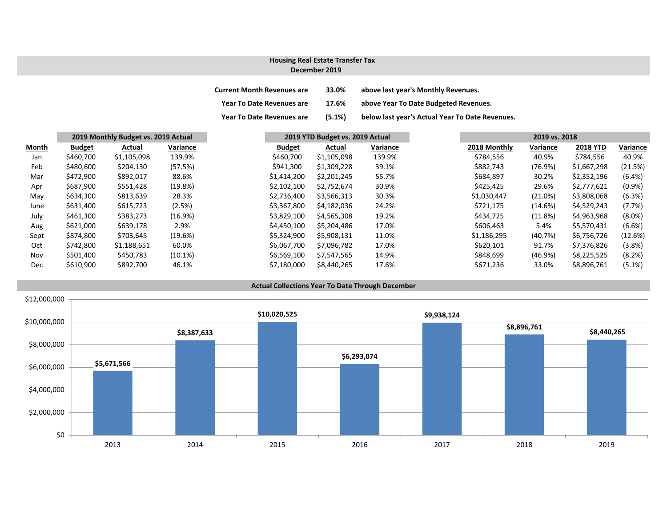#### **December 2019Housing Real Estate Transfer Tax**

| <b>Current Month Revenues are</b> | 33.0%     | above last year's Monthly Revenues.             |
|-----------------------------------|-----------|-------------------------------------------------|
| <b>Year To Date Revenues are</b>  | 17.6%     | above Year To Date Budgeted Revenues.           |
| <b>Year To Date Revenues are</b>  | $(5.1\%)$ | below last year's Actual Year To Date Revenues. |

|       | 2019 Monthly Budget vs. 2019 Actual |             |          |               | 2019 YTD Budget vs. 2019 Actual |          |  | 2019 vs. 2018 |          |                 |           |
|-------|-------------------------------------|-------------|----------|---------------|---------------------------------|----------|--|---------------|----------|-----------------|-----------|
| Month | <b>Budget</b>                       | Actual      | Variance | <b>Budget</b> | Actual                          | Variance |  | 2018 Monthly  | Variance | <b>2018 YTD</b> | Variance  |
| Jan   | \$460,700                           | \$1,105,098 | 139.9%   | \$460,700     | \$1,105,098                     | 139.9%   |  | \$784,556     | 40.9%    | \$784,556       | 40.9%     |
| Feb   | \$480,600                           | \$204,130   | (57.5%)  | \$941,300     | \$1,309,228                     | 39.1%    |  | \$882,743     | (76.9%)  | \$1,667,298     | (21.5%)   |
| Mar   | \$472,900                           | \$892,017   | 88.6%    | \$1,414,200   | \$2,201,245                     | 55.7%    |  | \$684,897     | 30.2%    | \$2,352,196     | (6.4%)    |
| Apr   | \$687,900                           | \$551,428   | (19.8%)  | \$2,102,100   | \$2,752,674                     | 30.9%    |  | \$425,425     | 29.6%    | \$2,777,621     | $(0.9\%)$ |
| May   | \$634,300                           | \$813,639   | 28.3%    | \$2,736,400   | \$3,566,313                     | 30.3%    |  | \$1,030,447   | (21.0%)  | \$3,808,068     | (6.3%)    |
| June  | \$631,400                           | \$615,723   | (2.5%)   | \$3,367,800   | \$4,182,036                     | 24.2%    |  | \$721,175     | (14.6%)  | \$4,529,243     | (7.7%)    |
| July  | \$461,300                           | \$383,273   | (16.9%)  | \$3,829,100   | \$4,565,308                     | 19.2%    |  | \$434,725     | (11.8%)  | \$4,963,968     | $(8.0\%)$ |
| Aug   | \$621,000                           | \$639,178   | 2.9%     | \$4,450,100   | \$5,204,486                     | 17.0%    |  | \$606,463     | 5.4%     | \$5,570,431     | (6.6%)    |
| Sept  | \$874,800                           | \$703,645   | (19.6%)  | \$5,324,900   | \$5,908,131                     | 11.0%    |  | \$1,186,295   | (40.7%)  | \$6,756,726     | (12.6%)   |
| Oct   | \$742,800                           | \$1,188,651 | 60.0%    | \$6.067.700   | \$7,096,782                     | 17.0%    |  | \$620,101     | 91.7%    | \$7,376,826     | (3.8%)    |
| Nov   | \$501,400                           | \$450,783   | (10.1%)  | \$6,569,100   | \$7,547,565                     | 14.9%    |  | \$848,699     | (46.9%)  | \$8,225,525     | (8.2%)    |
| Dec   | \$610,900                           | \$892,700   | 46.1%    | \$7,180,000   | \$8,440,265                     | 17.6%    |  | \$671,236     | 33.0%    | \$8,896,761     | $(5.1\%)$ |